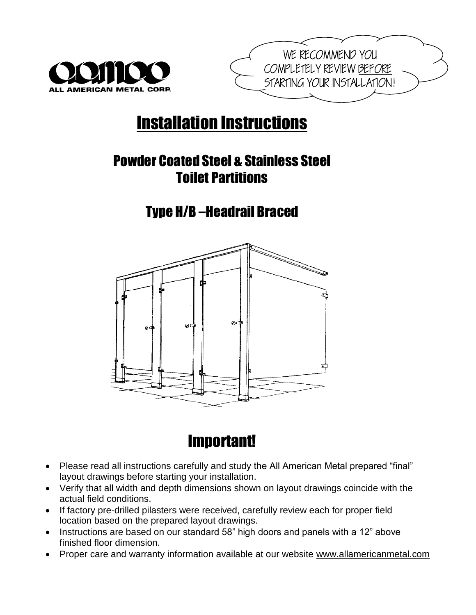



# Installation Instructions

## Powder Coated Steel & Stainless Steel Toilet Partitions

### Type H/B –Headrail Braced



## Important!

- Please read all instructions carefully and study the All American Metal prepared "final" layout drawings before starting your installation.
- Verify that all width and depth dimensions shown on layout drawings coincide with the actual field conditions.
- If factory pre-drilled pilasters were received, carefully review each for proper field location based on the prepared layout drawings.
- Instructions are based on our standard 58" high doors and panels with a 12" above finished floor dimension.
- Proper care and warranty information available at our website [www.allamericanmetal.com](http://www.allamericanmetal.com/)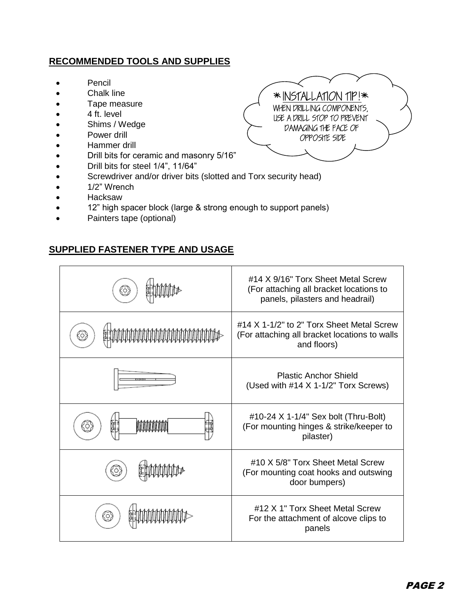#### **RECOMMENDED TOOLS AND SUPPLIES**

- Pencil
- Chalk line
- Tape measure
- 4 ft. level
- Shims / Wedge
- Power drill
- Hammer drill
- Drill bits for ceramic and masonry 5/16"
- Drill bits for steel 1/4", 11/64"
- Screwdriver and/or driver bits (slotted and Torx security head)
- 1/2" Wrench
- Hacksaw
- 12" high spacer block (large & strong enough to support panels)
- Painters tape (optional)

#### **SUPPLIED FASTENER TYPE AND USAGE**



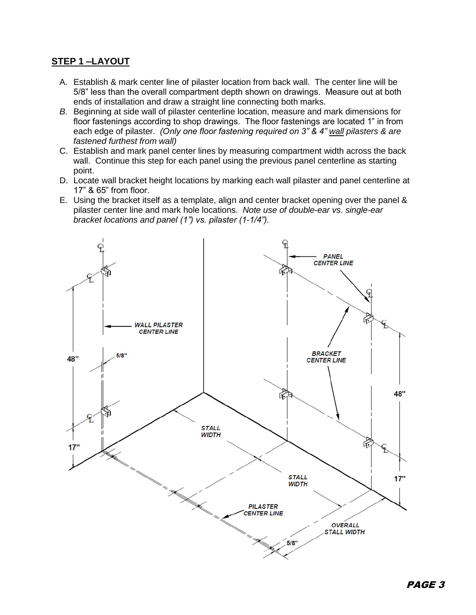#### **STEP 1 –LAYOUT**

- A. Establish & mark center line of pilaster location from back wall. The center line will be 5/8" less than the overall compartment depth shown on drawings. Measure out at both ends of installation and draw a straight line connecting both marks.
- *B.* Beginning at side wall of pilaster centerline location, measure and mark dimensions for floor fastenings according to shop drawings. The floor fastenings are located 1" in from each edge of pilaster. *(Only one floor fastening required on 3" & 4" wall pilasters & are fastened furthest from wall)*
- C. Establish and mark panel center lines by measuring compartment width across the back wall. Continue this step for each panel using the previous panel centerline as starting point.
- D. Locate wall bracket height locations by marking each wall pilaster and panel centerline at 17" & 65" from floor.
- E. Using the bracket itself as a template, align and center bracket opening over the panel & pilaster center line and mark hole locations. *Note use of double-ear vs. single-ear bracket locations and panel (1") vs. pilaster (1-1/4").*

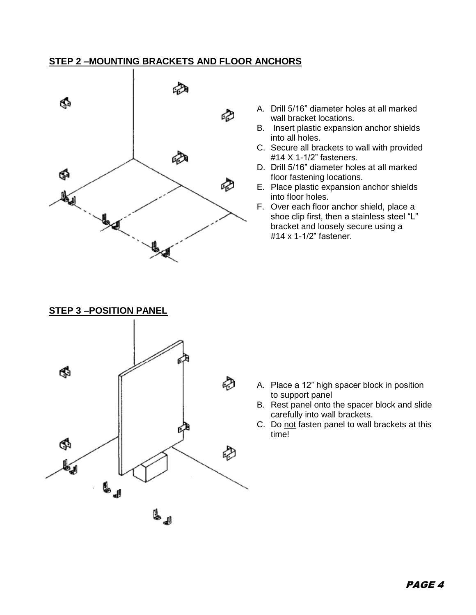#### **STEP 2 –MOUNTING BRACKETS AND FLOOR ANCHORS**



- A. Drill 5/16" diameter holes at all marked wall bracket locations.
- B. Insert plastic expansion anchor shields into all holes.
- C. Secure all brackets to wall with provided #14 X 1-1/2" fasteners.
- D. Drill 5/16" diameter holes at all marked floor fastening locations.
- E. Place plastic expansion anchor shields into floor holes.
- F. Over each floor anchor shield, place a shoe clip first, then a stainless steel "L" bracket and loosely secure using a #14 x 1-1/2" fastener.



- A. Place a 12" high spacer block in position to support panel
- B. Rest panel onto the spacer block and slide carefully into wall brackets.
- C. Do not fasten panel to wall brackets at this time!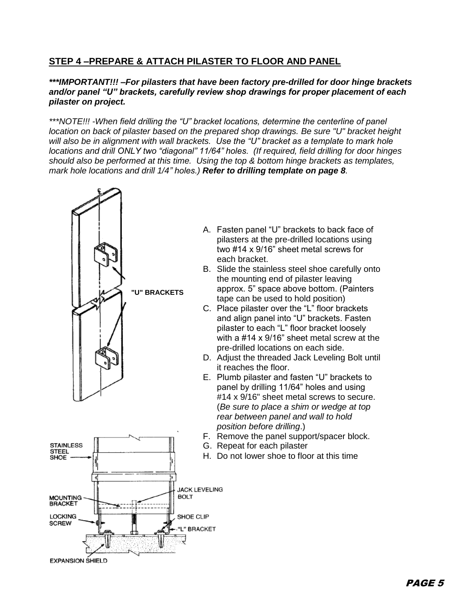#### **STEP 4 –PREPARE & ATTACH PILASTER TO FLOOR AND PANEL**

#### *\*\*\*IMPORTANT!!! –For pilasters that have been factory pre-drilled for door hinge brackets and/or panel "U" brackets, carefully review shop drawings for proper placement of each pilaster on project.*

*\*\*\*NOTE!!! -When field drilling the "U" bracket locations, determine the centerline of panel location on back of pilaster based on the prepared shop drawings. Be sure "U" bracket height will also be in alignment with wall brackets. Use the "U" bracket as a template to mark hole locations and drill ONLY two "diagonal" 11/64" holes. (If required, field drilling for door hinges should also be performed at this time. Using the top & bottom hinge brackets as templates, mark hole locations and drill 1/4" holes.) Refer to drilling template on page 8.* 



- A. Fasten panel "U" brackets to back face of pilasters at the pre-drilled locations using two #14 x 9/16" sheet metal screws for each bracket.
- B. Slide the stainless steel shoe carefully onto the mounting end of pilaster leaving approx. 5" space above bottom. (Painters tape can be used to hold position)
- C. Place pilaster over the "L" floor brackets and align panel into "U" brackets. Fasten pilaster to each "L" floor bracket loosely with a #14 x 9/16" sheet metal screw at the pre-drilled locations on each side.
- D. Adjust the threaded Jack Leveling Bolt until it reaches the floor.
- E. Plumb pilaster and fasten "U" brackets to panel by drilling 11/64" holes and using #14 x 9/16" sheet metal screws to secure. (*Be sure to place a shim or wedge at top rear between panel and wall to hold position before drilling*.)
- F. Remove the panel support/spacer block.
- G. Repeat for each pilaster
- H. Do not lower shoe to floor at this time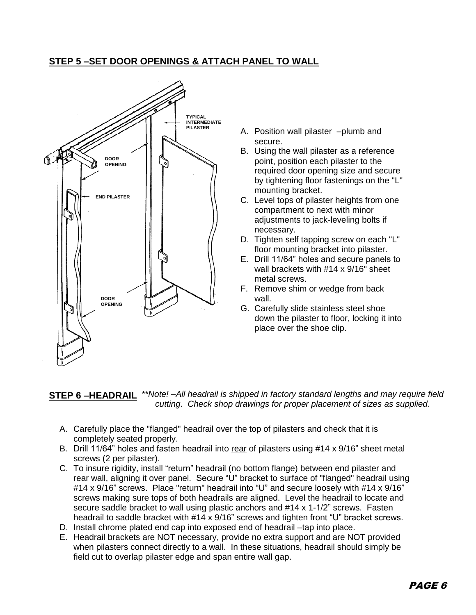#### **STEP 5 –SET DOOR OPENINGS & ATTACH PANEL TO WALL**



- A. Position wall pilaster –plumb and secure.
- B. Using the wall pilaster as a reference point, position each pilaster to the required door opening size and secure by tightening floor fastenings on the "L" mounting bracket.
- C. Level tops of pilaster heights from one compartment to next with minor adjustments to jack-leveling bolts if necessary.
- D. Tighten self tapping screw on each "L" floor mounting bracket into pilaster.
- E. Drill 11/64" holes and secure panels to wall brackets with #14 x 9/16" sheet metal screws.
- F. Remove shim or wedge from back wall.
- G. Carefully slide stainless steel shoe down the pilaster to floor, locking it into place over the shoe clip.

#### **STEP 6 –HEADRAIL**  *\*\*Note! –All headrail is shipped in factory standard lengths and may require field cutting*. *Check shop drawings for proper placement of sizes as supplied*.

- A. Carefully place the "flanged" headrail over the top of pilasters and check that it is completely seated properly.
- B. Drill 11/64" holes and fasten headrail into rear of pilasters using #14 x 9/16" sheet metal screws (2 per pilaster).
- C. To insure rigidity, install "return" headrail (no bottom flange) between end pilaster and rear wall, aligning it over panel. Secure "U" bracket to surface of "flanged" headrail using #14 x 9/16" screws. Place "return" headrail into "U" and secure loosely with #14 x 9/16" screws making sure tops of both headrails are aligned. Level the headrail to locate and secure saddle bracket to wall using plastic anchors and #14 x 1-1/2" screws. Fasten headrail to saddle bracket with #14 x 9/16" screws and tighten front "U" bracket screws.
- D. Install chrome plated end cap into exposed end of headrail –tap into place.
- E. Headrail brackets are NOT necessary, provide no extra support and are NOT provided when pilasters connect directly to a wall. In these situations, headrail should simply be field cut to overlap pilaster edge and span entire wall gap.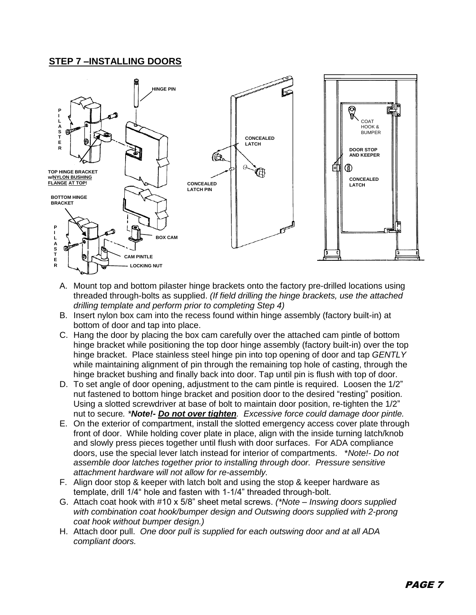#### **STEP 7 –INSTALLING DOORS**



- A. Mount top and bottom pilaster hinge brackets onto the factory pre-drilled locations using threaded through-bolts as supplied. *(If field drilling the hinge brackets, use the attached drilling template and perform prior to completing Step 4)*
- B. Insert nylon box cam into the recess found within hinge assembly (factory built-in) at bottom of door and tap into place.
- C. Hang the door by placing the box cam carefully over the attached cam pintle of bottom hinge bracket while positioning the top door hinge assembly (factory built-in) over the top hinge bracket. Place stainless steel hinge pin into top opening of door and tap *GENTLY* while maintaining alignment of pin through the remaining top hole of casting, through the hinge bracket bushing and finally back into door. Tap until pin is flush with top of door.
- D. To set angle of door opening, adjustment to the cam pintle is required. Loosen the 1/2" nut fastened to bottom hinge bracket and position door to the desired "resting" position. Using a slotted screwdriver at base of bolt to maintain door position, re-tighten the 1/2" nut to secure*. \*Note!- Do not over tighten. Excessive force could damage door pintle.*
- E. On the exterior of compartment, install the slotted emergency access cover plate through front of door. While holding cover plate in place, align with the inside turning latch/knob and slowly press pieces together until flush with door surfaces. For ADA compliance doors, use the special lever latch instead for interior of compartments. \**Note!- Do not assemble door latches together prior to installing through door. Pressure sensitive attachment hardware will not allow for re-assembly.*
- F. Align door stop & keeper with latch bolt and using the stop & keeper hardware as template, drill 1/4" hole and fasten with 1-1/4" threaded through-bolt.
- G. Attach coat hook with #10 x 5/8" sheet metal screws. *(\*Note – Inswing doors supplied with combination coat hook/bumper design and Outswing doors supplied with 2-prong coat hook without bumper design.)*
- H. Attach door pull. *One door pull is supplied for each outswing door and at all ADA compliant doors.*